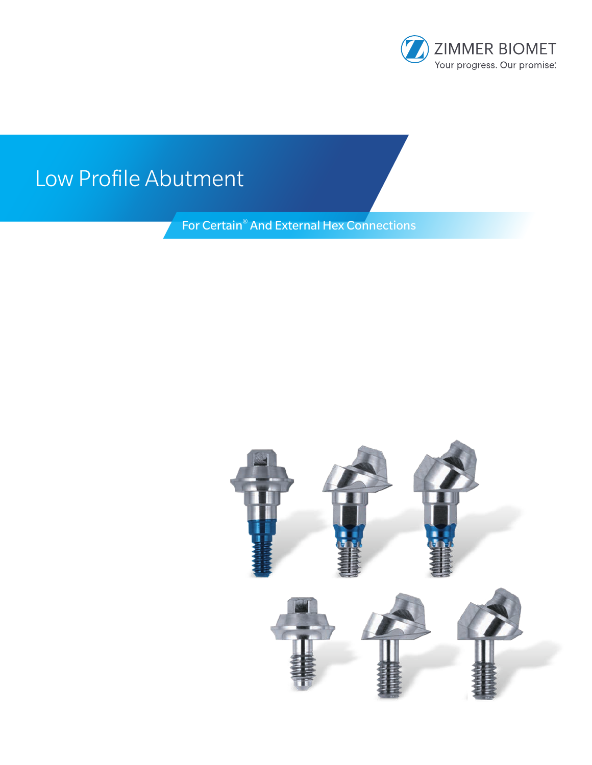

# Low Profile Abutment

For Certain® And External Hex Connections

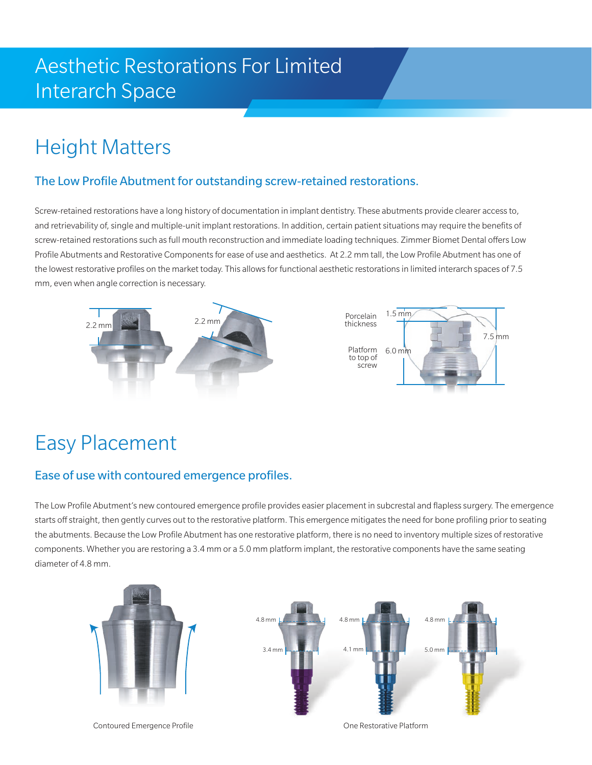## Aesthetic Restorations For Limited Interarch Space

## Height Matters

### The Low Profile Abutment for outstanding screw-retained restorations.

Screw-retained restorations have a long history of documentation in implant dentistry. These abutments provide clearer access to, and retrievability of, single and multiple-unit implant restorations. In addition, certain patient situations may require the benefits of screw-retained restorations such as full mouth reconstruction and immediate loading techniques. Zimmer Biomet Dental offers Low Profile Abutments and Restorative Components for ease of use and aesthetics. At 2.2 mm tall, the Low Profile Abutment has one of the lowest restorative profiles on the market today. This allows for functional aesthetic restorations in limited interarch spaces of 7.5 mm, even when angle correction is necessary.



## Easy Placement

### Ease of use with contoured emergence profiles.

The Low Profile Abutment's new contoured emergence profile provides easier placement in subcrestal and flapless surgery. The emergence starts off straight, then gently curves out to the restorative platform. This emergence mitigates the need for bone profiling prior to seating the abutments. Because the Low Profile Abutment has one restorative platform, there is no need to inventory multiple sizes of restorative components. Whether you are restoring a 3.4 mm or a 5.0 mm platform implant, the restorative components have the same seating diameter of 4.8 mm.



Contoured Emergence Profile One Restorative Platform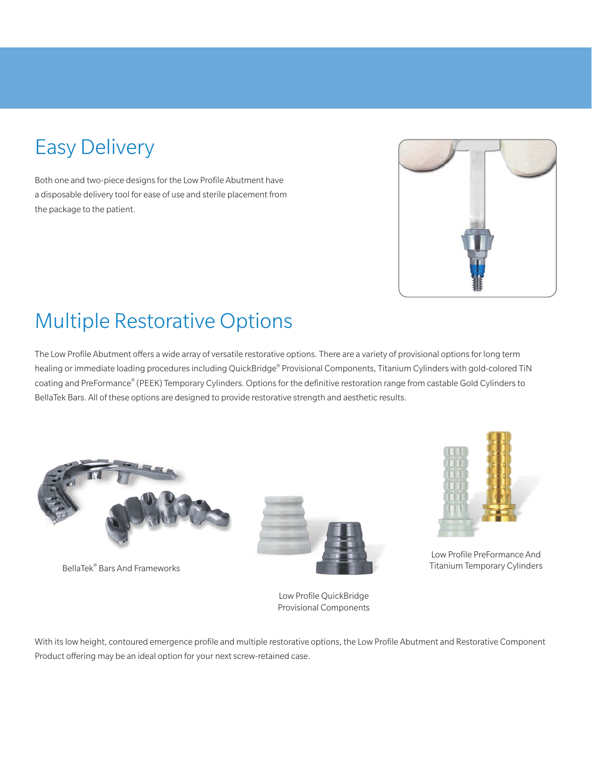# Easy Delivery

Both one and two-piece designs for the Low Profile Abutment have a disposable delivery tool for ease of use and sterile placement from the package to the patient.



## Multiple Restorative Options

The Low Profile Abutment offers a wide array of versatile restorative options. There are a variety of provisional options for long term healing or immediate loading procedures including QuickBridge® Provisional Components, Titanium Cylinders with gold-colored TiN coating and PreFormance® (PEEK) Temporary Cylinders. Options for the definitive restoration range from castable Gold Cylinders to BellaTek Bars. All of these options are designed to provide restorative strength and aesthetic results.



BellaTek® Bars And Frameworks



Low Profile QuickBridge Provisional Components



Low Profile PreFormance And Titanium Temporary Cylinders

With its low height, contoured emergence profile and multiple restorative options, the Low Profile Abutment and Restorative Component Product offering may be an ideal option for your next screw-retained case.